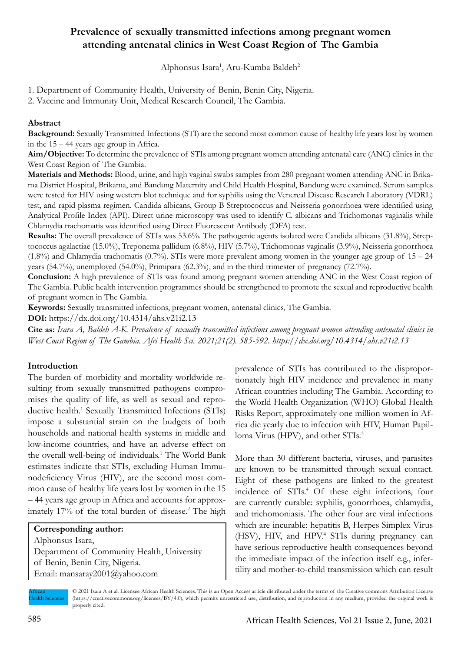# **Prevalence of sexually transmitted infections among pregnant women attending antenatal clinics in West Coast Region of The Gambia**

Alphonsus Isara<sup>1</sup>, Aru-Kumba Baldeh<sup>2</sup>

1. Department of Community Health, University of Benin, Benin City, Nigeria.

2. Vaccine and Immunity Unit, Medical Research Council, The Gambia.

### **Abstract**

**Background:** Sexually Transmitted Infections (STI) are the second most common cause of healthy life years lost by women in the 15 – 44 years age group in Africa.

**Aim/Objective:** To determine the prevalence of STIs among pregnant women attending antenatal care (ANC) clinics in the West Coast Region of The Gambia.

**Materials and Methods:** Blood, urine, and high vaginal swabs samples from 280 pregnant women attending ANC in Brikama District Hospital, Brikama, and Bandung Maternity and Child Health Hospital, Bandung were examined. Serum samples were tested for HIV using western blot technique and for syphilis using the Venereal Disease Research Laboratory (VDRL) test, and rapid plasma regimen. Candida albicans, Group B Streptococcus and Neisseria gonorrhoea were identified using Analytical Profile Index (API). Direct urine microscopy was used to identify C. albicans and Trichomonas vaginalis while Chlamydia trachomatis was identified using Direct Fluorescent Antibody (DFA) test.

**Results:** The overall prevalence of STIs was 53.6%. The pathogenic agents isolated were Candida albicans (31.8%), Streptococcus agalactiae (15.0%), Treponema pallidum (6.8%), HIV (5.7%), Trichomonas vaginalis (3.9%), Neisseria gonorrhoea  $(1.8\%)$  and Chlamydia trachomatis  $(0.7\%)$ . STIs were more prevalent among women in the younger age group of  $15 - 24$ years (54.7%), unemployed (54.0%), Primipara (62.3%), and in the third trimester of pregnancy (72.7%).

**Conclusion:** A high prevalence of STIs was found among pregnant women attending ANC in the West Coast region of The Gambia. Public health intervention programmes should be strengthened to promote the sexual and reproductive health of pregnant women in The Gambia.

**Keywords:** Sexually transmitted infections, pregnant women, antenatal clinics, The Gambia.

**DOI:** https://dx.doi.org/10.4314/ahs.v21i2.13

**Cite as:** *Isara A, Baldeh A-K. Prevalence of sexually transmitted infections among pregnant women attending antenatal clinics in West Coast Region of The Gambia. Afri Health Sci. 2021;21(2). 585-592. https://dx.doi.org/10.4314/ahs.v21i2.13*

# **Introduction**

The burden of morbidity and mortality worldwide resulting from sexually transmitted pathogens compromises the quality of life, as well as sexual and reproductive health.<sup>1</sup> Sexually Transmitted Infections (STIs) impose a substantial strain on the budgets of both households and national health systems in middle and low-income countries, and have an adverse effect on the overall well-being of individuals.<sup>1</sup> The World Bank estimates indicate that STIs, excluding Human Immunodeficiency Virus (HIV), are the second most common cause of healthy life years lost by women in the 15 – 44 years age group in Africa and accounts for approximately 17% of the total burden of disease.<sup>2</sup> The high

# **Corresponding author:**

Alphonsus Isara, Department of Community Health, University of Benin, Benin City, Nigeria. Email: mansaray2001@yahoo.com

prevalence of STIs has contributed to the disproportionately high HIV incidence and prevalence in many African countries including The Gambia. According to the World Health Organization (WHO) Global Health Risks Report, approximately one million women in Africa die yearly due to infection with HIV, Human Papilloma Virus (HPV), and other STIs.<sup>3</sup>

More than 30 different bacteria, viruses, and parasites are known to be transmitted through sexual contact. Eight of these pathogens are linked to the greatest incidence of STIs.<sup>4</sup> Of these eight infections, four are currently curable: syphilis, gonorrhoea, chlamydia, and trichomoniasis. The other four are viral infections which are incurable: hepatitis B, Herpes Simplex Virus (HSV), HIV, and HPV.4 STIs during pregnancy can have serious reproductive health consequences beyond the immediate impact of the infection itself e.g., infertility and mother-to-child transmission which can result

African Health Sciences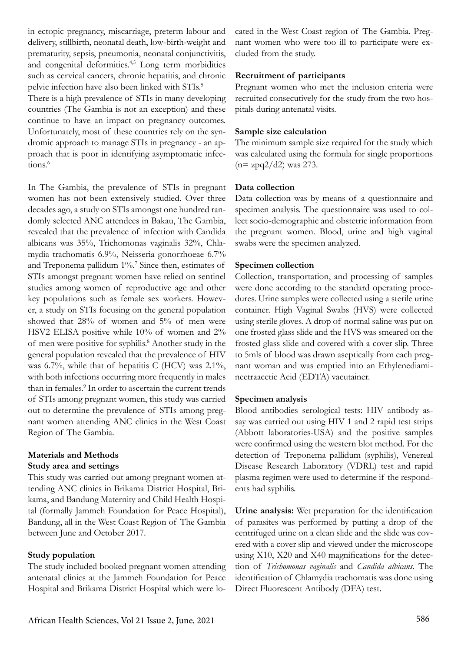in ectopic pregnancy, miscarriage, preterm labour and delivery, stillbirth, neonatal death, low-birth-weight and prematurity, sepsis, pneumonia, neonatal conjunctivitis, and congenital deformities.4,5 Long term morbidities such as cervical cancers, chronic hepatitis, and chronic pelvic infection have also been linked with STIs.<sup>5</sup> There is a high prevalence of STIs in many developing countries (The Gambia is not an exception) and these continue to have an impact on pregnancy outcomes. Unfortunately, most of these countries rely on the syndromic approach to manage STIs in pregnancy - an approach that is poor in identifying asymptomatic infections.<sup>6</sup>

In The Gambia, the prevalence of STIs in pregnant women has not been extensively studied. Over three decades ago, a study on STIs amongst one hundred randomly selected ANC attendees in Bakau, The Gambia, revealed that the prevalence of infection with Candida albicans was 35%, Trichomonas vaginalis 32%, Chlamydia trachomatis 6.9%, Neisseria gonorrhoeae 6.7% and Treponema pallidum 1%.<sup>7</sup> Since then, estimates of STIs amongst pregnant women have relied on sentinel studies among women of reproductive age and other key populations such as female sex workers. However, a study on STIs focusing on the general population showed that 28% of women and 5% of men were HSV2 ELISA positive while 10% of women and 2% of men were positive for syphilis.<sup>8</sup> Another study in the general population revealed that the prevalence of HIV was 6.7%, while that of hepatitis C (HCV) was  $2.1\%$ , with both infections occurring more frequently in males than in females.<sup>9</sup> In order to ascertain the current trends of STIs among pregnant women, this study was carried out to determine the prevalence of STIs among pregnant women attending ANC clinics in the West Coast Region of The Gambia.

### **Materials and Methods Study area and settings**

This study was carried out among pregnant women attending ANC clinics in Brikama District Hospital, Brikama, and Bandung Maternity and Child Health Hospital (formally Jammeh Foundation for Peace Hospital), Bandung, all in the West Coast Region of The Gambia between June and October 2017.

### **Study population**

The study included booked pregnant women attending antenatal clinics at the Jammeh Foundation for Peace Hospital and Brikama District Hospital which were located in the West Coast region of The Gambia. Pregnant women who were too ill to participate were excluded from the study.

#### **Recruitment of participants**

Pregnant women who met the inclusion criteria were recruited consecutively for the study from the two hospitals during antenatal visits.

#### **Sample size calculation**

The minimum sample size required for the study which was calculated using the formula for single proportions  $(n= zpq2/d2)$  was 273.

#### **Data collection**

Data collection was by means of a questionnaire and specimen analysis. The questionnaire was used to collect socio-demographic and obstetric information from the pregnant women. Blood, urine and high vaginal swabs were the specimen analyzed.

#### **Specimen collection**

Collection, transportation, and processing of samples were done according to the standard operating procedures. Urine samples were collected using a sterile urine container. High Vaginal Swabs (HVS) were collected using sterile gloves. A drop of normal saline was put on one frosted glass slide and the HVS was smeared on the frosted glass slide and covered with a cover slip. Three to 5mls of blood was drawn aseptically from each pregnant woman and was emptied into an Ethylenediamineetraacetic Acid (EDTA) vacutainer.

#### **Specimen analysis**

Blood antibodies serological tests: HIV antibody assay was carried out using HIV 1 and 2 rapid test strips (Abbott laboratories-USA) and the positive samples were confirmed using the western blot method. For the detection of Treponema pallidum (syphilis), Venereal Disease Research Laboratory (VDRL) test and rapid plasma regimen were used to determine if the respondents had syphilis.

**Urine analysis:** Wet preparation for the identification of parasites was performed by putting a drop of the centrifuged urine on a clean slide and the slide was covered with a cover slip and viewed under the microscope using X10, X20 and X40 magnifications for the detection of *Trichomonas vaginalis* and *Candida albicans*. The identification of Chlamydia trachomatis was done using Direct Fluorescent Antibody (DFA) test.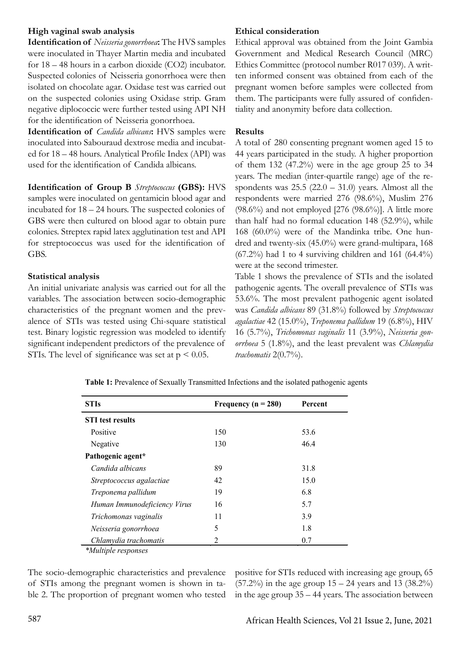### **High vaginal swab analysis**

**Identification of** *Neisseria gonorrhoea***:** The HVS samples were inoculated in Thayer Martin media and incubated for 18 – 48 hours in a carbon dioxide (CO2) incubator. Suspected colonies of Neisseria gonorrhoea were then isolated on chocolate agar. Oxidase test was carried out on the suspected colonies using Oxidase strip. Gram negative diplococcic were further tested using API NH for the identification of Neisseria gonorrhoea.

**Identification of** *Candida albicans***:** HVS samples were inoculated into Sabouraud dextrose media and incubated for 18 – 48 hours. Analytical Profile Index (API) was used for the identification of Candida albicans.

**Identification of Group B** *Streptococcus* **(GBS):** HVS samples were inoculated on gentamicin blood agar and incubated for 18 – 24 hours. The suspected colonies of GBS were then cultured on blood agar to obtain pure colonies. Streptex rapid latex agglutination test and API for streptococcus was used for the identification of GBS.

### **Statistical analysis**

An initial univariate analysis was carried out for all the variables. The association between socio-demographic characteristics of the pregnant women and the prevalence of STIs was tested using Chi-square statistical test. Binary logistic regression was modeled to identify significant independent predictors of the prevalence of STIs. The level of significance was set at  $p < 0.05$ .

### **Ethical consideration**

Ethical approval was obtained from the Joint Gambia Government and Medical Research Council (MRC) Ethics Committee (protocol number R017 039). A written informed consent was obtained from each of the pregnant women before samples were collected from them. The participants were fully assured of confidentiality and anonymity before data collection.

### **Results**

A total of 280 consenting pregnant women aged 15 to 44 years participated in the study. A higher proportion of them  $132 \ (47.2\%)$  were in the age group 25 to 34 years. The median (inter-quartile range) age of the respondents was  $25.5$   $(22.0 - 31.0)$  years. Almost all the respondents were married 276 (98.6%), Muslim 276  $(98.6\%)$  and not employed [276  $(98.6\%)$ ]. A little more than half had no formal education 148 (52.9%), while 168 (60.0%) were of the Mandinka tribe. One hundred and twenty-six (45.0%) were grand-multipara, 168  $(67.2\%)$  had 1 to 4 surviving children and 161  $(64.4\%)$ were at the second trimester.

Table 1 shows the prevalence of STIs and the isolated pathogenic agents. The overall prevalence of STIs was 53.6%. The most prevalent pathogenic agent isolated was *Candida albicans* 89 (31.8%) followed by *Streptococcus agalactiae* 42 (15.0%), *Treponema pallidum* 19 (6.8%), HIV 16 (5.7%), *Trichomonas vaginalis* 11 (3.9%), *Neisseria gonorrhoea* 5 (1.8%), and the least prevalent was *Chlamydia trachomatis* 2(0.7%).

**Table 1:** Prevalence of Sexually Transmitted Infections and the isolated pathogenic agents

| <b>STIs</b>                  | Frequency ( $n = 280$ ) | Percent |
|------------------------------|-------------------------|---------|
| <b>STI</b> test results      |                         |         |
| Positive                     | 150                     | 53.6    |
| Negative                     | 130                     | 46.4    |
| Pathogenic agent*            |                         |         |
| Candida albicans             | 89                      | 31.8    |
| Streptococcus agalactiae     | 42                      | 15.0    |
| Treponema pallidum           | 19                      | 6.8     |
| Human Immunodeficiency Virus | 16                      | 5.7     |
| Trichomonas vaginalis        | 11                      | 3.9     |
| Neisseria gonorrhoea         | 5                       | 1.8     |
| Chlamydia trachomatis        | 2                       | 0.7     |
| <i>*Multiple responses</i>   |                         |         |

The socio-demographic characteristics and prevalence of STIs among the pregnant women is shown in table 2. The proportion of pregnant women who tested

positive for STIs reduced with increasing age group, 65  $(57.2\%)$  in the age group  $15 - 24$  years and 13  $(38.2\%)$ in the age group 35 – 44 years. The association between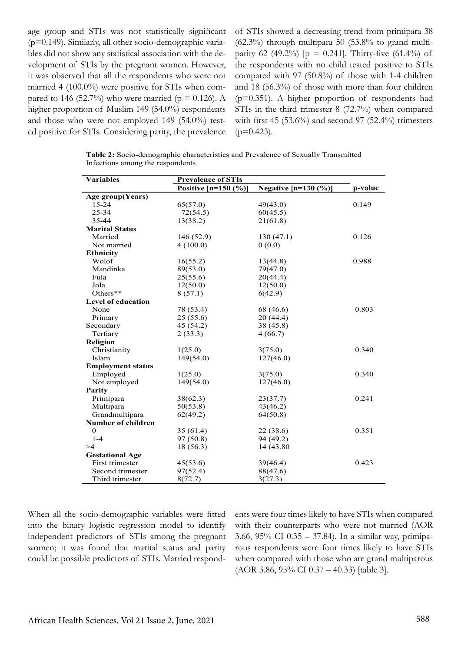age group and STIs was not statistically significant (p=0.149). Similarly, all other socio-demographic variables did not show any statistical association with the development of STIs by the pregnant women. However, it was observed that all the respondents who were not married 4 (100.0%) were positive for STIs when compared to 146 (52.7%) who were married ( $p = 0.126$ ). A higher proportion of Muslim 149 (54.0%) respondents and those who were not employed 149 (54.0%) tested positive for STIs. Considering parity, the prevalence of STIs showed a decreasing trend from primipara 38  $(62.3\%)$  through multipara 50  $(53.8\%$  to grand multiparity 62 (49.2%) [ $p = 0.241$ ]. Thirty-five (61.4%) of the respondents with no child tested positive to STIs compared with 97 (50.8%) of those with 1-4 children and 18 (56.3%) of those with more than four children (p=0.351). A higher proportion of respondents had STIs in the third trimester 8 (72.7%) when compared with first 45  $(53.6\%)$  and second 97  $(52.4\%)$  trimesters  $(p=0.423)$ .

**Table 2:** Socio-demographic characteristics and Prevalence of Sexually Transmitted Infections among the respondents

| <b>Variables</b>          | <b>Prevalence of STIs</b> |                        |         |
|---------------------------|---------------------------|------------------------|---------|
|                           | Positive $[n=150 (%)]$    | Negative $[n=130 (%)]$ | p-value |
| Age group(Years)          |                           |                        |         |
| $15 - 24$                 | 65(57.0)                  | 49(43.0)               | 0.149   |
| 25-34                     | 72(54.5)                  | 60(45.5)               |         |
| 35-44                     | 13(38.2)                  | 21(61.8)               |         |
| <b>Marital Status</b>     |                           |                        |         |
| Married                   | 146 (52.9)                | 130 (47.1)             | 0.126   |
| Not married               | 4(100.0)                  | 0(0.0)                 |         |
| <b>Ethnicity</b>          |                           |                        |         |
| Wolof                     | 16(55.2)                  | 13(44.8)               | 0.988   |
| Mandinka                  | 89(53.0)                  | 79(47.0)               |         |
| Fula                      | 25(55.6)                  | 20(44.4)               |         |
| Jola                      | 12(50.0)                  | 12(50.0)               |         |
| Others**                  | 8(57.1)                   | 6(42.9)                |         |
| <b>Level of education</b> |                           |                        |         |
| None                      | 78 (53.4)                 | 68 (46.6)              | 0.803   |
| Primary                   | 25(55.6)                  | 20 (44.4)              |         |
| Secondary                 | 45 (54.2)                 | 38 (45.8)              |         |
| Tertiary                  | 2(33.3)                   | 4(66.7)                |         |
| <b>Religion</b>           |                           |                        |         |
| Christianity              | 1(25.0)                   | 3(75.0)                | 0.340   |
| Islam                     | 149(54.0)                 | 127(46.0)              |         |
| <b>Employment status</b>  |                           |                        |         |
| Employed                  | 1(25.0)                   | 3(75.0)                | 0.340   |
| Not employed              | 149(54.0)                 | 127(46.0)              |         |
| Parity                    |                           |                        |         |
| Primipara                 | 38(62.3)                  | 23(37.7)               | 0.241   |
| Multipara                 | 50(53.8)                  | 43(46.2)               |         |
| Grandmultipara            | 62(49.2)                  | 64(50.8)               |         |
| <b>Number of children</b> |                           |                        |         |
| $\boldsymbol{0}$          | 35(61.4)                  | 22 (38.6)              | 0.351   |
| $1 - 4$                   | 97 (50.8)                 | 94 (49.2)              |         |
| >4                        | 18 (56.3)                 | 14 (43.80)             |         |
| <b>Gestational Age</b>    |                           |                        |         |
| First trimester           | 45(53.6)                  | 39(46.4)               | 0.423   |
| Second trimester          | 97(52.4)                  | 88(47.6)               |         |
| Third trimester           | 8(72.7)                   | 3(27.3)                |         |

When all the socio-demographic variables were fitted into the binary logistic regression model to identify independent predictors of STIs among the pregnant women; it was found that marital status and parity could be possible predictors of STIs. Married respondents were four times likely to have STIs when compared with their counterparts who were not married (AOR 3.66, 95% CI 0.35 – 37.84). In a similar way, primiparous respondents were four times likely to have STIs when compared with those who are grand multiparous (AOR 3.86, 95% CI 0.37 – 40.33) [table 3].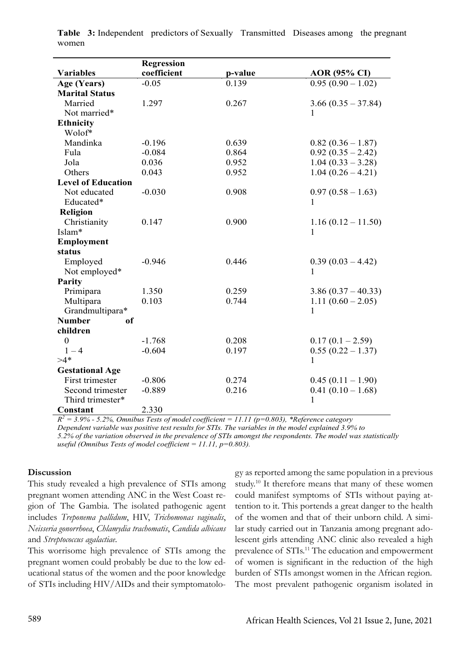|                           | <b>Regression</b> |         |                      |
|---------------------------|-------------------|---------|----------------------|
| <b>Variables</b>          | coefficient       | p-value | <b>AOR</b> (95% CI)  |
| Age (Years)               | $-0.05$           | 0.139   | $0.95(0.90 - 1.02)$  |
| <b>Marital Status</b>     |                   |         |                      |
| Married                   | 1.297             | 0.267   | $3.66(0.35 - 37.84)$ |
| Not married*              |                   |         | 1                    |
| <b>Ethnicity</b>          |                   |         |                      |
| Wolof*                    |                   |         |                      |
| Mandinka                  | $-0.196$          | 0.639   | $0.82(0.36 - 1.87)$  |
| Fula                      | $-0.084$          | 0.864   | $0.92(0.35 - 2.42)$  |
| Jola                      | 0.036             | 0.952   | $1.04(0.33 - 3.28)$  |
| Others                    | 0.043             | 0.952   | $1.04(0.26 - 4.21)$  |
| <b>Level of Education</b> |                   |         |                      |
| Not educated              | $-0.030$          | 0.908   | $0.97(0.58 - 1.63)$  |
| Educated*                 |                   |         | 1                    |
| Religion                  |                   |         |                      |
| Christianity              | 0.147             | 0.900   | $1.16(0.12 - 11.50)$ |
| Islam*                    |                   |         | 1                    |
| <b>Employment</b>         |                   |         |                      |
| status                    |                   |         |                      |
| Employed                  | $-0.946$          | 0.446   | $0.39(0.03 - 4.42)$  |
| Not employed*             |                   |         | 1                    |
| <b>Parity</b>             |                   |         |                      |
| Primipara                 | 1.350             | 0.259   | $3.86(0.37 - 40.33)$ |
| Multipara                 | 0.103             | 0.744   | $1.11(0.60 - 2.05)$  |
| Grandmultipara*           |                   |         | 1                    |
| <b>Number</b><br>of       |                   |         |                      |
| children                  |                   |         |                      |
| $\boldsymbol{0}$          | $-1.768$          | 0.208   | $0.17(0.1 - 2.59)$   |
| $1 - 4$                   | $-0.604$          | 0.197   | $0.55(0.22 - 1.37)$  |
| $>4*$                     |                   |         | $\mathbf{1}$         |
| <b>Gestational Age</b>    |                   |         |                      |
| First trimester           | $-0.806$          | 0.274   | $0.45(0.11-1.90)$    |
| Second trimester          | $-0.889$          | 0.216   | $0.41(0.10-1.68)$    |
| Third trimester*          |                   |         | 1                    |
| Constant                  | 2.330             |         |                      |

**Table 3:** Independent predictors of Sexually Transmitted Diseases among the pregnant women

 $R^2 = 3.9\%$  - 5.2%, Omnibus Tests of model coefficient = 11.11 ( $p=0.803$ ), \*Reference category *Dependent variable was positive test results for STIs. The variables in the model explained 3.9% to 5.2% of the variation observed in the prevalence of STIs amongst the respondents. The model was statistically useful (Omnibus Tests of model coefficient = 11.11, p=0.803).*

#### **Discussion**

This study revealed a high prevalence of STIs among pregnant women attending ANC in the West Coast region of The Gambia. The isolated pathogenic agent includes *Treponema pallidum*, HIV, *Trichomonas vaginalis*, *Neisseria gonorrhoea*, *Chlamydia trachomatis*, *Candida albicans* and *Streptococcus agalactiae*.

This worrisome high prevalence of STIs among the pregnant women could probably be due to the low educational status of the women and the poor knowledge of STIs including HIV/AIDs and their symptomatolo-

gy as reported among the same population in a previous study.10 It therefore means that many of these women could manifest symptoms of STIs without paying attention to it. This portends a great danger to the health of the women and that of their unborn child. A similar study carried out in Tanzania among pregnant adolescent girls attending ANC clinic also revealed a high prevalence of STIs.11 The education and empowerment of women is significant in the reduction of the high burden of STIs amongst women in the African region. The most prevalent pathogenic organism isolated in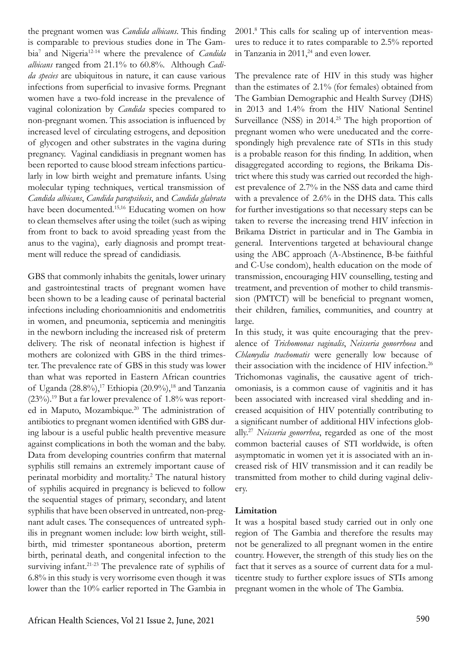the pregnant women was *Candida albicans*. This finding is comparable to previous studies done in The Gambia<sup>7</sup> and Nigeria<sup>12-14</sup> where the prevalence of *Candida albicans* ranged from 21.1% to 60.8%. Although *Cadida species* are ubiquitous in nature, it can cause various infections from superficial to invasive forms. Pregnant women have a two-fold increase in the prevalence of vaginal colonization by *Candida* species compared to non-pregnant women. This association is influenced by increased level of circulating estrogens, and deposition of glycogen and other substrates in the vagina during pregnancy. Vaginal candidiasis in pregnant women has been reported to cause blood stream infections particularly in low birth weight and premature infants. Using molecular typing techniques, vertical transmission of *Candida albicans*, *Candida parapsilosis*, and *Candida glabrata* have been documented.<sup>15,16</sup> Educating women on how to clean themselves after using the toilet (such as wiping from front to back to avoid spreading yeast from the anus to the vagina), early diagnosis and prompt treatment will reduce the spread of candidiasis.

GBS that commonly inhabits the genitals, lower urinary and gastrointestinal tracts of pregnant women have been shown to be a leading cause of perinatal bacterial infections including chorioamnionitis and endometritis in women, and pneumonia, septicemia and meningitis in the newborn including the increased risk of preterm delivery. The risk of neonatal infection is highest if mothers are colonized with GBS in the third trimester. The prevalence rate of GBS in this study was lower than what was reported in Eastern African countries of Uganda  $(28.8\%)$ ,<sup>17</sup> Ethiopia  $(20.9\%)$ ,<sup>18</sup> and Tanzania  $(23\%)$ .<sup>19</sup> But a far lower prevalence of 1.8% was reported in Maputo, Mozambique.<sup>20</sup> The administration of antibiotics to pregnant women identified with GBS during labour is a useful public health preventive measure against complications in both the woman and the baby. Data from developing countries confirm that maternal syphilis still remains an extremely important cause of perinatal morbidity and mortality.<sup>2</sup> The natural history of syphilis acquired in pregnancy is believed to follow the sequential stages of primary, secondary, and latent syphilis that have been observed in untreated, non-pregnant adult cases. The consequences of untreated syphilis in pregnant women include: low birth weight, stillbirth, mid trimester spontaneous abortion, preterm birth, perinatal death, and congenital infection to the surviving infant.<sup>21-23</sup> The prevalence rate of syphilis of 6.8% in this study is very worrisome even though it was lower than the 10% earlier reported in The Gambia in

2001.8 This calls for scaling up of intervention measures to reduce it to rates comparable to 2.5% reported in Tanzania in  $2011<sup>24</sup>$  and even lower.

The prevalence rate of HIV in this study was higher than the estimates of 2.1% (for females) obtained from The Gambian Demographic and Health Survey (DHS) in 2013 and 1.4% from the HIV National Sentinel Surveillance (NSS) in 2014.25 The high proportion of pregnant women who were uneducated and the correspondingly high prevalence rate of STIs in this study is a probable reason for this finding. In addition, when disaggregated according to regions, the Brikama District where this study was carried out recorded the highest prevalence of 2.7% in the NSS data and came third with a prevalence of 2.6% in the DHS data. This calls for further investigations so that necessary steps can be taken to reverse the increasing trend HIV infection in Brikama District in particular and in The Gambia in general. Interventions targeted at behavioural change using the ABC approach (A-Abstinence, B-be faithful and C-Use condom), health education on the mode of transmission, encouraging HIV counselling, testing and treatment, and prevention of mother to child transmission (PMTCT) will be beneficial to pregnant women, their children, families, communities, and country at large.

In this study, it was quite encouraging that the prevalence of *Trichomonas vaginalis*, *Neisseria gonorrhoea* and *Chlamydia trachomatis* were generally low because of their association with the incidence of HIV infection.<sup>26</sup> Trichomonas vaginalis, the causative agent of trichomoniasis, is a common cause of vaginitis and it has been associated with increased viral shedding and increased acquisition of HIV potentially contributing to a significant number of additional HIV infections globally.27 *Neisseria gonorrhea*, regarded as one of the most common bacterial causes of STI worldwide, is often asymptomatic in women yet it is associated with an increased risk of HIV transmission and it can readily be transmitted from mother to child during vaginal delivery.

#### **Limitation**

It was a hospital based study carried out in only one region of The Gambia and therefore the results may not be generalized to all pregnant women in the entire country. However, the strength of this study lies on the fact that it serves as a source of current data for a multicentre study to further explore issues of STIs among pregnant women in the whole of The Gambia.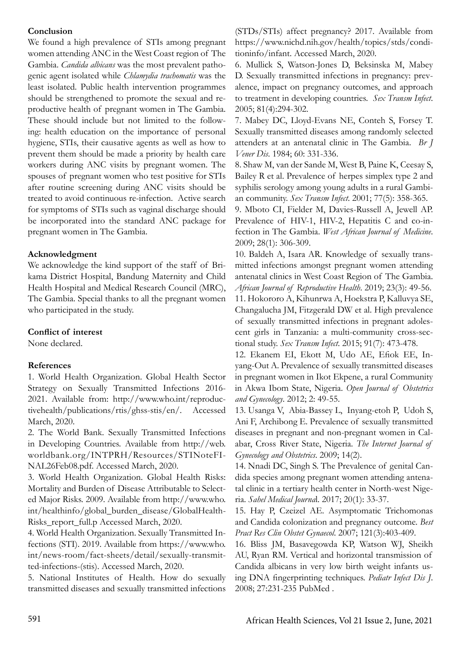### **Conclusion**

We found a high prevalence of STIs among pregnant women attending ANC in the West Coast region of The Gambia. *Candida albicans* was the most prevalent pathogenic agent isolated while *Chlamydia trachomatis* was the least isolated. Public health intervention programmes should be strengthened to promote the sexual and reproductive health of pregnant women in The Gambia. These should include but not limited to the following: health education on the importance of personal hygiene, STIs, their causative agents as well as how to prevent them should be made a priority by health care workers during ANC visits by pregnant women. The spouses of pregnant women who test positive for STIs after routine screening during ANC visits should be treated to avoid continuous re-infection. Active search for symptoms of STIs such as vaginal discharge should be incorporated into the standard ANC package for pregnant women in The Gambia.

### **Acknowledgment**

We acknowledge the kind support of the staff of Brikama District Hospital, Bandung Maternity and Child Health Hospital and Medical Research Council (MRC), The Gambia. Special thanks to all the pregnant women who participated in the study.

# **Conflict of interest**

None declared.

# **References**

1. World Health Organization. Global Health Sector Strategy on Sexually Transmitted Infections 2016- 2021. Available from: http://www.who.int/reproductivehealth/publications/rtis/ghss-stis/en/. Accessed March, 2020.

2. The World Bank. Sexually Transmitted Infections in Developing Countries. Available from http://web. worldbank.org/INTPRH/Resources/STINoteFI-NAL26Feb08.pdf. Accessed March, 2020.

3. World Health Organization. Global Health Risks: Mortality and Burden of Disease Attributable to Selected Major Risks. 2009. Available from http://www.who. int/healthinfo/global\_burden\_disease/GlobalHealth-Risks\_report\_full.p Accessed March, 2020.

4. World Health Organization. Sexually Transmitted Infections (STI). 2019. Available from https://www.who. int/news-room/fact-sheets/detail/sexually-transmitted-infections-(stis). Accessed March, 2020.

5. National Institutes of Health. How do sexually transmitted diseases and sexually transmitted infections

(STDs/STIs) affect pregnancy? 2017. Available from https://www.nichd.nih.gov/health/topics/stds/conditioninfo/infant. Accessed March, 2020.

6. Mullick S, Watson-Jones D, Beksinska M, Mabey D. Sexually transmitted infections in pregnancy: prevalence, impact on pregnancy outcomes, and approach to treatment in developing countries. *Sex Transm Infect*. 2005; 81(4):294-302.

7. Mabey DC, Lloyd-Evans NE, Conteh S, Forsey T. Sexually transmitted diseases among randomly selected attenders at an antenatal clinic in The Gambia. *Br J Vener Dis*. 1984; 60: 331-336.

8. Shaw M, van der Sande M, West B, Paine K, Ceesay S, Bailey R et al. Prevalence of herpes simplex type 2 and syphilis serology among young adults in a rural Gambian community. *Sex Transm Infect*. 2001; 77(5): 358-365.

9. Mboto CI, Fielder M, Davies-Russell A, Jewell AP. Prevalence of HIV-1, HIV-2, Hepatitis C and co-infection in The Gambia. *West African Journal of Medicine*. 2009; 28(1): 306-309.

10. Baldeh A, Isara AR. Knowledge of sexually transmitted infections amongst pregnant women attending antenatal clinics in West Coast Region of The Gambia. *African Journal of Reproductive Health*. 2019; 23(3): 49-56. 11. Hokororo A, Kihunrwa A, Hoekstra P, Kalluvya SE, Changalucha JM, Fitzgerald DW et al. High prevalence of sexually transmitted infections in pregnant adolescent girls in Tanzania: a multi-community cross-sectional study. *Sex Transm Infect*. 2015; 91(7): 473-478.

12. Ekanem EI, Ekott M, Udo AE, Efiok EE, Inyang-Out A. Prevalence of sexually transmitted diseases in pregnant women in Ikot Ekpene, a rural Community in Akwa Ibom State, Nigeria. *Open Journal of Obstetrics and Gynecology*. 2012; 2: 49-55.

13. Usanga V, Abia-Bassey L, Inyang-etoh P, Udoh S, Ani F, Archibong E. Prevalence of sexually transmitted diseases in pregnant and non-pregnant women in Calabar, Cross River State, Nigeria. *The Internet Journal of Gynecology and Obstetrics*. 2009; 14(2).

14. Nnadi DC, Singh S. The Prevalence of genital Candida species among pregnant women attending antenatal clinic in a tertiary health center in North-west Nigeria. *Sahel Medical Journa*l. 2017; 20(1): 33-37.

15. Hay P, Czeizel AE. Asymptomatic Trichomonas and Candida colonization and pregnancy outcome. *Best Pract Res Clin Obstet Gynaecol*. 2007; 121(3):403-409.

16. Bliss JM, Basavegowda KP, Watson WJ, Sheikh AU, Ryan RM. Vertical and horizontal transmission of Candida albicans in very low birth weight infants using DNA fingerprinting techniques. *Pediatr Infect Dis J*. 2008; 27:231-235 PubMed .